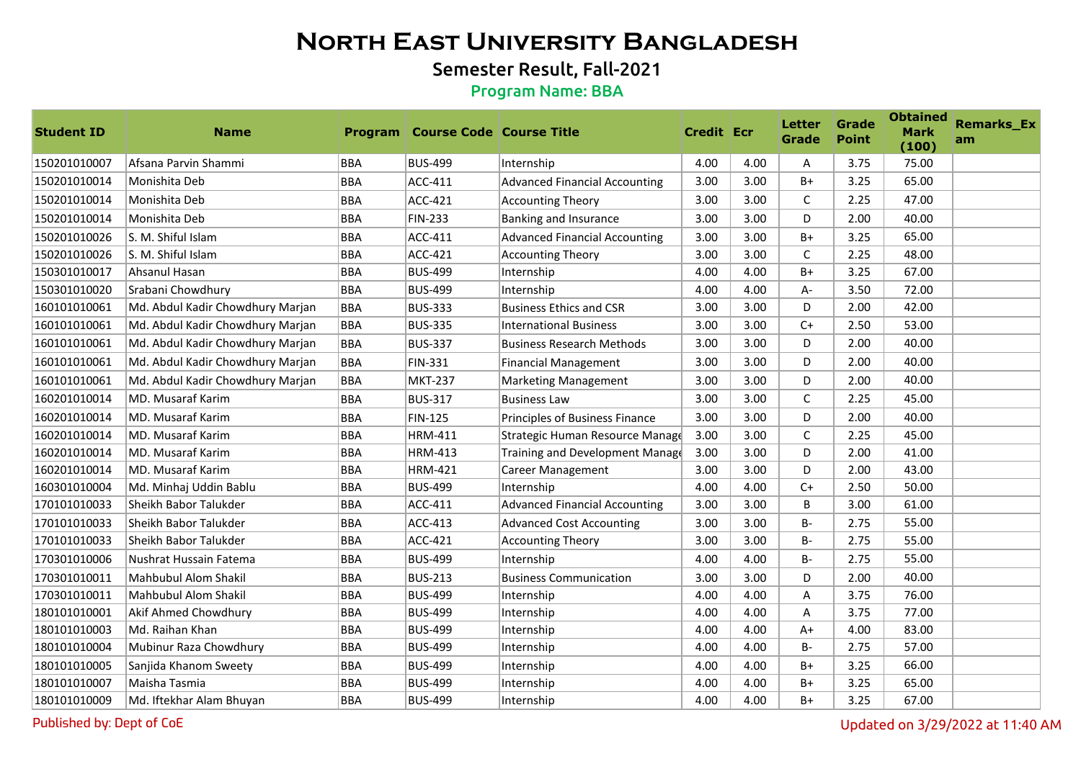### Semester Result, Fall-2021

| <b>Student ID</b> | <b>Name</b>                      |            | <b>Program   Course Code   Course Title</b> |                                      | <b>Credit Ecr</b> |      | <b>Letter</b><br><b>Grade</b> | <b>Grade</b><br><b>Point</b> | <b>Obtained</b><br><b>Mark</b><br>(100) | <b>Remarks_Ex</b><br>am |
|-------------------|----------------------------------|------------|---------------------------------------------|--------------------------------------|-------------------|------|-------------------------------|------------------------------|-----------------------------------------|-------------------------|
| 150201010007      | Afsana Parvin Shammi             | <b>BBA</b> | <b>BUS-499</b>                              | Internship                           | 4.00              | 4.00 | Α                             | 3.75                         | 75.00                                   |                         |
| 150201010014      | Monishita Deb                    | BBA        | <b>ACC-411</b>                              | <b>Advanced Financial Accounting</b> | 3.00              | 3.00 | $B+$                          | 3.25                         | 65.00                                   |                         |
| 150201010014      | Monishita Deb                    | BBA        | <b>ACC-421</b>                              | <b>Accounting Theory</b>             | 3.00              | 3.00 | $\mathsf{C}$                  | 2.25                         | 47.00                                   |                         |
| 150201010014      | Monishita Deb                    | BBA        | <b>FIN-233</b>                              | Banking and Insurance                | 3.00              | 3.00 | D                             | 2.00                         | 40.00                                   |                         |
| 150201010026      | S. M. Shiful Islam               | <b>BBA</b> | <b>ACC-411</b>                              | <b>Advanced Financial Accounting</b> | 3.00              | 3.00 | $B+$                          | 3.25                         | 65.00                                   |                         |
| 150201010026      | S. M. Shiful Islam               | BBA        | <b>ACC-421</b>                              | <b>Accounting Theory</b>             | 3.00              | 3.00 | C                             | 2.25                         | 48.00                                   |                         |
| 150301010017      | Ahsanul Hasan                    | BBA        | <b>BUS-499</b>                              | Internship                           | 4.00              | 4.00 | $B+$                          | 3.25                         | 67.00                                   |                         |
| 150301010020      | Srabani Chowdhury                | <b>BBA</b> | <b>BUS-499</b>                              | Internship                           | 4.00              | 4.00 | A-                            | 3.50                         | 72.00                                   |                         |
| 160101010061      | Md. Abdul Kadir Chowdhury Marjan | BBA        | <b>BUS-333</b>                              | <b>Business Ethics and CSR</b>       | 3.00              | 3.00 | D                             | 2.00                         | 42.00                                   |                         |
| 160101010061      | Md. Abdul Kadir Chowdhury Marjan | BBA        | <b>BUS-335</b>                              | <b>International Business</b>        | 3.00              | 3.00 | $C+$                          | 2.50                         | 53.00                                   |                         |
| 160101010061      | Md. Abdul Kadir Chowdhury Marjan | <b>BBA</b> | <b>BUS-337</b>                              | <b>Business Research Methods</b>     | 3.00              | 3.00 | D                             | 2.00                         | 40.00                                   |                         |
| 160101010061      | Md. Abdul Kadir Chowdhury Marjan | <b>BBA</b> | <b>FIN-331</b>                              | <b>Financial Management</b>          | 3.00              | 3.00 | D                             | 2.00                         | 40.00                                   |                         |
| 160101010061      | Md. Abdul Kadir Chowdhury Marjan | <b>BBA</b> | <b>MKT-237</b>                              | <b>Marketing Management</b>          | 3.00              | 3.00 | D                             | 2.00                         | 40.00                                   |                         |
| 160201010014      | <b>MD. Musaraf Karim</b>         | BBA        | <b>BUS-317</b>                              | <b>Business Law</b>                  | 3.00              | 3.00 | C                             | 2.25                         | 45.00                                   |                         |
| 160201010014      | MD. Musaraf Karim                | BBA        | <b>FIN-125</b>                              | Principles of Business Finance       | 3.00              | 3.00 | D                             | 2.00                         | 40.00                                   |                         |
| 160201010014      | MD. Musaraf Karim                | <b>BBA</b> | <b>HRM-411</b>                              | Strategic Human Resource Manage      | 3.00              | 3.00 | C                             | 2.25                         | 45.00                                   |                         |
| 160201010014      | MD. Musaraf Karim                | <b>BBA</b> | <b>HRM-413</b>                              | Training and Development Manage      | 3.00              | 3.00 | D                             | 2.00                         | 41.00                                   |                         |
| 160201010014      | MD. Musaraf Karim                | <b>BBA</b> | <b>HRM-421</b>                              | <b>Career Management</b>             | 3.00              | 3.00 | D                             | 2.00                         | 43.00                                   |                         |
| 160301010004      | Md. Minhaj Uddin Bablu           | <b>BBA</b> | <b>BUS-499</b>                              | Internship                           | 4.00              | 4.00 | $C+$                          | 2.50                         | 50.00                                   |                         |
| 170101010033      | Sheikh Babor Talukder            | <b>BBA</b> | <b>ACC-411</b>                              | <b>Advanced Financial Accounting</b> | 3.00              | 3.00 | B                             | 3.00                         | 61.00                                   |                         |
| 170101010033      | Sheikh Babor Talukder            | <b>BBA</b> | <b>ACC-413</b>                              | <b>Advanced Cost Accounting</b>      | 3.00              | 3.00 | <b>B-</b>                     | 2.75                         | 55.00                                   |                         |
| 170101010033      | Sheikh Babor Talukder            | <b>BBA</b> | <b>ACC-421</b>                              | <b>Accounting Theory</b>             | 3.00              | 3.00 | $B -$                         | 2.75                         | 55.00                                   |                         |
| 170301010006      | Nushrat Hussain Fatema           | BBA        | <b>BUS-499</b>                              | Internship                           | 4.00              | 4.00 | <b>B-</b>                     | 2.75                         | 55.00                                   |                         |
| 170301010011      | Mahbubul Alom Shakil             | BBA        | <b>BUS-213</b>                              | <b>Business Communication</b>        | 3.00              | 3.00 | D                             | 2.00                         | 40.00                                   |                         |
| 170301010011      | Mahbubul Alom Shakil             | <b>BBA</b> | <b>BUS-499</b>                              | Internship                           | 4.00              | 4.00 | A                             | 3.75                         | 76.00                                   |                         |
| 180101010001      | Akif Ahmed Chowdhury             | <b>BBA</b> | <b>BUS-499</b>                              | Internship                           | 4.00              | 4.00 | Α                             | 3.75                         | 77.00                                   |                         |
| 180101010003      | Md. Raihan Khan                  | BBA        | <b>BUS-499</b>                              | Internship                           | 4.00              | 4.00 | $A+$                          | 4.00                         | 83.00                                   |                         |
| 180101010004      | Mubinur Raza Chowdhury           | <b>BBA</b> | <b>BUS-499</b>                              | Internship                           | 4.00              | 4.00 | $B -$                         | 2.75                         | 57.00                                   |                         |
| 180101010005      | Sanjida Khanom Sweety            | BBA        | <b>BUS-499</b>                              | Internship                           | 4.00              | 4.00 | B+                            | 3.25                         | 66.00                                   |                         |
| 180101010007      | Maisha Tasmia                    | BBA        | <b>BUS-499</b>                              | Internship                           | 4.00              | 4.00 | B+                            | 3.25                         | 65.00                                   |                         |
| 180101010009      | Md. Iftekhar Alam Bhuyan         | <b>BBA</b> | <b>BUS-499</b>                              | Internship                           | 4.00              | 4.00 | $B+$                          | 3.25                         | 67.00                                   |                         |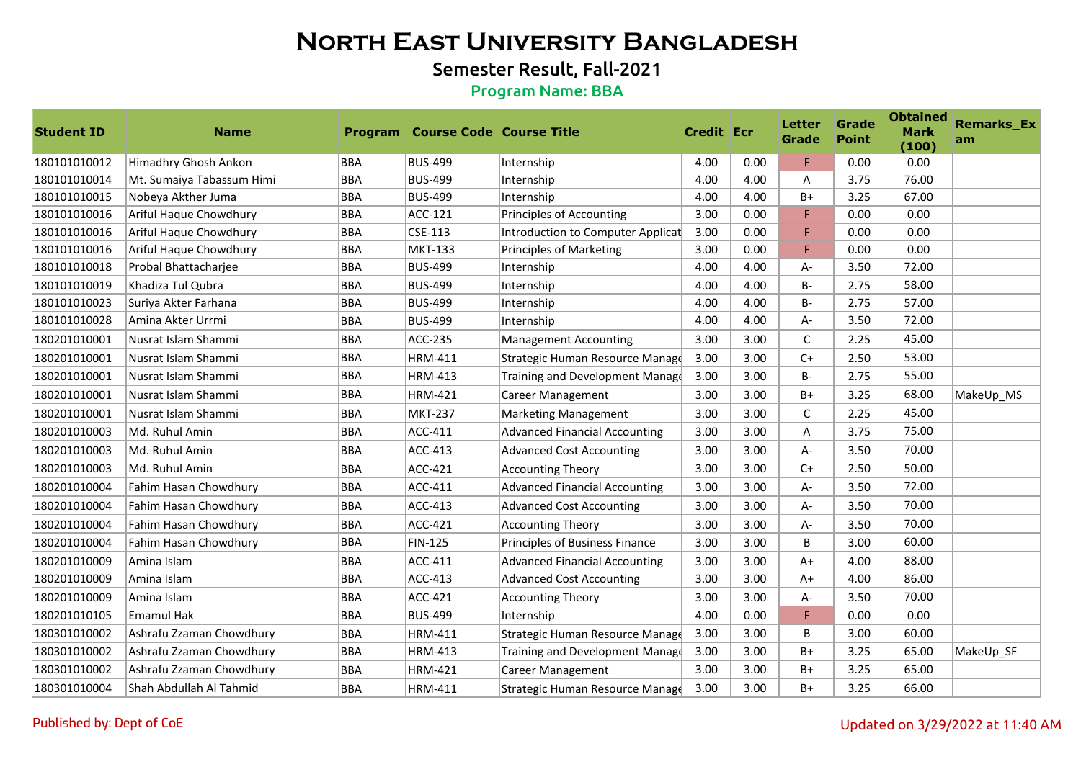### Semester Result, Fall-2021

| <b>Student ID</b> | <b>Name</b>               |            | <b>Program   Course Code   Course Title</b> |                                          | <b>Credit Ecr</b> |      | Letter<br>Grade | Grade<br><b>Point</b> | <b>Obtained</b><br><b>Mark</b><br>(100) | <b>Remarks_Ex</b><br>am |
|-------------------|---------------------------|------------|---------------------------------------------|------------------------------------------|-------------------|------|-----------------|-----------------------|-----------------------------------------|-------------------------|
| 180101010012      | Himadhry Ghosh Ankon      | BBA        | <b>BUS-499</b>                              | Internship                               | 4.00              | 0.00 | F               | 0.00                  | 0.00                                    |                         |
| 180101010014      | Mt. Sumaiya Tabassum Himi | <b>BBA</b> | <b>BUS-499</b>                              | Internship                               | 4.00              | 4.00 | Α               | 3.75                  | 76.00                                   |                         |
| 180101010015      | Nobeya Akther Juma        | <b>BBA</b> | <b>BUS-499</b>                              | Internship                               | 4.00              | 4.00 | $B+$            | 3.25                  | 67.00                                   |                         |
| 180101010016      | Ariful Haque Chowdhury    | <b>BBA</b> | <b>ACC-121</b>                              | Principles of Accounting                 | 3.00              | 0.00 | F               | 0.00                  | 0.00                                    |                         |
| 180101010016      | Ariful Haque Chowdhury    | <b>BBA</b> | CSE-113                                     | <b>Introduction to Computer Applicat</b> | 3.00              | 0.00 | F               | 0.00                  | 0.00                                    |                         |
| 180101010016      | Ariful Haque Chowdhury    | <b>BBA</b> | <b>MKT-133</b>                              | <b>Principles of Marketing</b>           | 3.00              | 0.00 | F               | 0.00                  | 0.00                                    |                         |
| 180101010018      | Probal Bhattacharjee      | <b>BBA</b> | <b>BUS-499</b>                              | Internship                               | 4.00              | 4.00 | A-              | 3.50                  | 72.00                                   |                         |
| 180101010019      | Khadiza Tul Qubra         | <b>BBA</b> | <b>BUS-499</b>                              | Internship                               | 4.00              | 4.00 | $B -$           | 2.75                  | 58.00                                   |                         |
| 180101010023      | Suriya Akter Farhana      | <b>BBA</b> | <b>BUS-499</b>                              | Internship                               | 4.00              | 4.00 | <b>B-</b>       | 2.75                  | 57.00                                   |                         |
| 180101010028      | Amina Akter Urrmi         | <b>BBA</b> | <b>BUS-499</b>                              | Internship                               | 4.00              | 4.00 | A-              | 3.50                  | 72.00                                   |                         |
| 180201010001      | Nusrat Islam Shammi       | <b>BBA</b> | <b>ACC-235</b>                              | <b>Management Accounting</b>             | 3.00              | 3.00 | C               | 2.25                  | 45.00                                   |                         |
| 180201010001      | Nusrat Islam Shammi       | <b>BBA</b> | <b>HRM-411</b>                              | Strategic Human Resource Manage          | 3.00              | 3.00 | $C+$            | 2.50                  | 53.00                                   |                         |
| 180201010001      | Nusrat Islam Shammi       | <b>BBA</b> | <b>HRM-413</b>                              | Training and Development Manage          | 3.00              | 3.00 | $B -$           | 2.75                  | 55.00                                   |                         |
| 180201010001      | Nusrat Islam Shammi       | <b>BBA</b> | <b>HRM-421</b>                              | <b>Career Management</b>                 | 3.00              | 3.00 | B+              | 3.25                  | 68.00                                   | MakeUp MS               |
| 180201010001      | Nusrat Islam Shammi       | <b>BBA</b> | <b>MKT-237</b>                              | <b>Marketing Management</b>              | 3.00              | 3.00 | C               | 2.25                  | 45.00                                   |                         |
| 180201010003      | Md. Ruhul Amin            | <b>BBA</b> | <b>ACC-411</b>                              | <b>Advanced Financial Accounting</b>     | 3.00              | 3.00 | Α               | 3.75                  | 75.00                                   |                         |
| 180201010003      | Md. Ruhul Amin            | <b>BBA</b> | <b>ACC-413</b>                              | <b>Advanced Cost Accounting</b>          | 3.00              | 3.00 | A-              | 3.50                  | 70.00                                   |                         |
| 180201010003      | Md. Ruhul Amin            | <b>BBA</b> | <b>ACC-421</b>                              | <b>Accounting Theory</b>                 | 3.00              | 3.00 | $C+$            | 2.50                  | 50.00                                   |                         |
| 180201010004      | Fahim Hasan Chowdhury     | <b>BBA</b> | <b>ACC-411</b>                              | <b>Advanced Financial Accounting</b>     | 3.00              | 3.00 | A-              | 3.50                  | 72.00                                   |                         |
| 180201010004      | Fahim Hasan Chowdhury     | <b>BBA</b> | <b>ACC-413</b>                              | <b>Advanced Cost Accounting</b>          | 3.00              | 3.00 | A-              | 3.50                  | 70.00                                   |                         |
| 180201010004      | Fahim Hasan Chowdhury     | <b>BBA</b> | <b>ACC-421</b>                              | <b>Accounting Theory</b>                 | 3.00              | 3.00 | A-              | 3.50                  | 70.00                                   |                         |
| 180201010004      | Fahim Hasan Chowdhury     | <b>BBA</b> | <b>FIN-125</b>                              | Principles of Business Finance           | 3.00              | 3.00 | B               | 3.00                  | 60.00                                   |                         |
| 180201010009      | Amina Islam               | <b>BBA</b> | <b>ACC-411</b>                              | <b>Advanced Financial Accounting</b>     | 3.00              | 3.00 | $A+$            | 4.00                  | 88.00                                   |                         |
| 180201010009      | Amina Islam               | <b>BBA</b> | ACC-413                                     | <b>Advanced Cost Accounting</b>          | 3.00              | 3.00 | A+              | 4.00                  | 86.00                                   |                         |
| 180201010009      | Amina Islam               | <b>BBA</b> | <b>ACC-421</b>                              | <b>Accounting Theory</b>                 | 3.00              | 3.00 | A-              | 3.50                  | 70.00                                   |                         |
| 180201010105      | Emamul Hak                | <b>BBA</b> | <b>BUS-499</b>                              | Internship                               | 4.00              | 0.00 | F               | 0.00                  | 0.00                                    |                         |
| 180301010002      | Ashrafu Zzaman Chowdhury  | <b>BBA</b> | <b>HRM-411</b>                              | Strategic Human Resource Manage          | 3.00              | 3.00 | B               | 3.00                  | 60.00                                   |                         |
| 180301010002      | Ashrafu Zzaman Chowdhury  | <b>BBA</b> | <b>HRM-413</b>                              | Training and Development Manage          | 3.00              | 3.00 | $B+$            | 3.25                  | 65.00                                   | MakeUp_SF               |
| 180301010002      | Ashrafu Zzaman Chowdhury  | <b>BBA</b> | <b>HRM-421</b>                              | <b>Career Management</b>                 | 3.00              | 3.00 | B+              | 3.25                  | 65.00                                   |                         |
| 180301010004      | Shah Abdullah Al Tahmid   | <b>BBA</b> | <b>HRM-411</b>                              | Strategic Human Resource Manage          | 3.00              | 3.00 | B+              | 3.25                  | 66.00                                   |                         |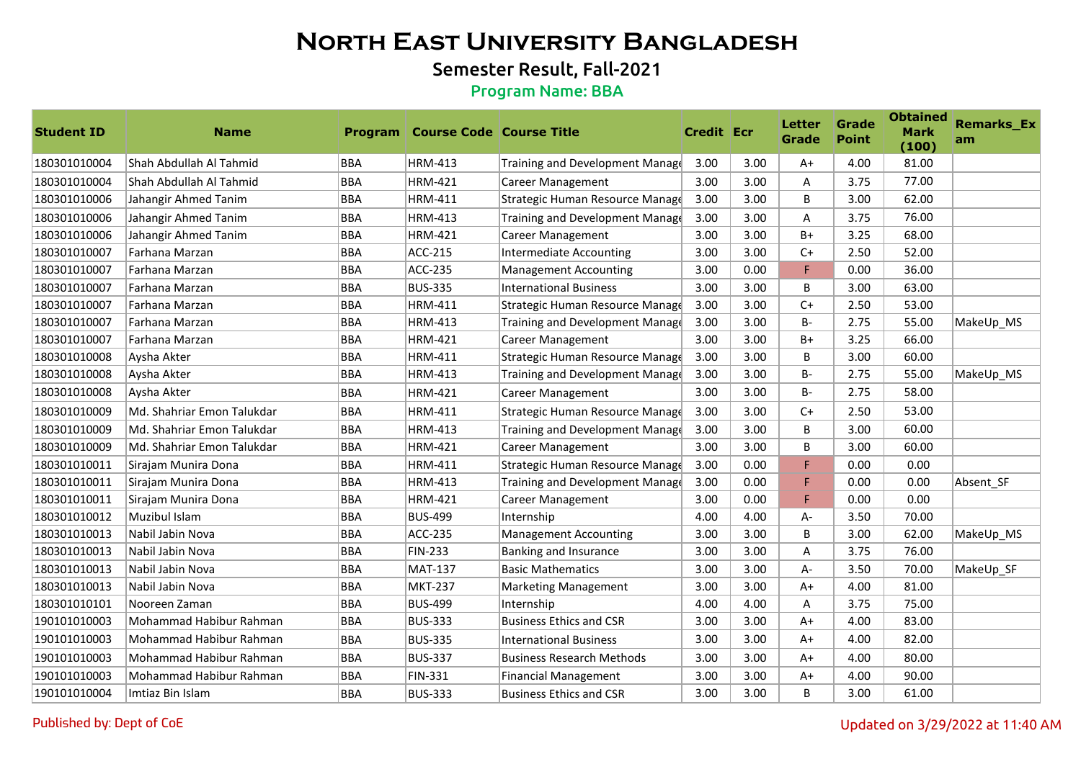### Semester Result, Fall-2021

| <b>Student ID</b> | <b>Name</b>                |            | <b>Program   Course Code   Course Title</b> |                                  | <b>Credit Ecr</b> |      | <b>Letter</b><br>Grade | Grade<br><b>Point</b> | <b>Obtained</b><br><b>Mark</b><br>(100) | <b>Remarks_Ex</b><br>am |
|-------------------|----------------------------|------------|---------------------------------------------|----------------------------------|-------------------|------|------------------------|-----------------------|-----------------------------------------|-------------------------|
| 180301010004      | lShah Abdullah Al Tahmid   | <b>BBA</b> | <b>HRM-413</b>                              | Training and Development Manage  | 3.00              | 3.00 | $A+$                   | 4.00                  | 81.00                                   |                         |
| 180301010004      | Shah Abdullah Al Tahmid    | <b>BBA</b> | <b>HRM-421</b>                              | Career Management                | 3.00              | 3.00 | A                      | 3.75                  | 77.00                                   |                         |
| 180301010006      | Jahangir Ahmed Tanim       | <b>BBA</b> | <b>HRM-411</b>                              | Strategic Human Resource Manage  | 3.00              | 3.00 | B                      | 3.00                  | 62.00                                   |                         |
| 180301010006      | Jahangir Ahmed Tanim       | <b>BBA</b> | <b>HRM-413</b>                              | Training and Development Manage  | 3.00              | 3.00 | Α                      | 3.75                  | 76.00                                   |                         |
| 180301010006      | Jahangir Ahmed Tanim       | <b>BBA</b> | <b>HRM-421</b>                              | Career Management                | 3.00              | 3.00 | $B+$                   | 3.25                  | 68.00                                   |                         |
| 180301010007      | Farhana Marzan             | BBA        | <b>ACC-215</b>                              | <b>Intermediate Accounting</b>   | 3.00              | 3.00 | $C+$                   | 2.50                  | 52.00                                   |                         |
| 180301010007      | Farhana Marzan             | BBA        | <b>ACC-235</b>                              | <b>Management Accounting</b>     | 3.00              | 0.00 | F                      | 0.00                  | 36.00                                   |                         |
| 180301010007      | Farhana Marzan             | <b>BBA</b> | <b>BUS-335</b>                              | <b>International Business</b>    | 3.00              | 3.00 | B                      | 3.00                  | 63.00                                   |                         |
| 180301010007      | Farhana Marzan             | BBA        | <b>HRM-411</b>                              | Strategic Human Resource Manage  | 3.00              | 3.00 | $C+$                   | 2.50                  | 53.00                                   |                         |
| 180301010007      | Farhana Marzan             | <b>BBA</b> | <b>HRM-413</b>                              | Training and Development Manage  | 3.00              | 3.00 | $B -$                  | 2.75                  | 55.00                                   | MakeUp MS               |
| 180301010007      | Farhana Marzan             | <b>BBA</b> | <b>HRM-421</b>                              | <b>Career Management</b>         | 3.00              | 3.00 | $B+$                   | 3.25                  | 66.00                                   |                         |
| 180301010008      | Aysha Akter                | <b>BBA</b> | <b>HRM-411</b>                              | Strategic Human Resource Manage  | 3.00              | 3.00 | B                      | 3.00                  | 60.00                                   |                         |
| 180301010008      | Aysha Akter                | <b>BBA</b> | <b>HRM-413</b>                              | Training and Development Manage  | 3.00              | 3.00 | $B -$                  | 2.75                  | 55.00                                   | MakeUp_MS               |
| 180301010008      | Aysha Akter                | <b>BBA</b> | <b>HRM-421</b>                              | Career Management                | 3.00              | 3.00 | B-                     | 2.75                  | 58.00                                   |                         |
| 180301010009      | Md. Shahriar Emon Talukdar | <b>BBA</b> | <b>HRM-411</b>                              | Strategic Human Resource Manage  | 3.00              | 3.00 | C+                     | 2.50                  | 53.00                                   |                         |
| 180301010009      | Md. Shahriar Emon Talukdar | <b>BBA</b> | <b>HRM-413</b>                              | Training and Development Manage  | 3.00              | 3.00 | B                      | 3.00                  | 60.00                                   |                         |
| 180301010009      | Md. Shahriar Emon Talukdar | BBA        | <b>HRM-421</b>                              | <b>Career Management</b>         | 3.00              | 3.00 | B                      | 3.00                  | 60.00                                   |                         |
| 180301010011      | Sirajam Munira Dona        | <b>BBA</b> | <b>HRM-411</b>                              | Strategic Human Resource Manage  | 3.00              | 0.00 | F                      | 0.00                  | 0.00                                    |                         |
| 180301010011      | Sirajam Munira Dona        | BBA        | <b>HRM-413</b>                              | Training and Development Manage  | 3.00              | 0.00 | F                      | 0.00                  | 0.00                                    | Absent_SF               |
| 180301010011      | Sirajam Munira Dona        | <b>BBA</b> | <b>HRM-421</b>                              | Career Management                | 3.00              | 0.00 | F                      | 0.00                  | 0.00                                    |                         |
| 180301010012      | Muzibul Islam              | <b>BBA</b> | <b>BUS-499</b>                              | Internship                       | 4.00              | 4.00 | $A -$                  | 3.50                  | 70.00                                   |                         |
| 180301010013      | Nabil Jabin Nova           | <b>BBA</b> | <b>ACC-235</b>                              | <b>Management Accounting</b>     | 3.00              | 3.00 | B                      | 3.00                  | 62.00                                   | MakeUp MS               |
| 180301010013      | Nabil Jabin Nova           | <b>BBA</b> | <b>FIN-233</b>                              | Banking and Insurance            | 3.00              | 3.00 | Α                      | 3.75                  | 76.00                                   |                         |
| 180301010013      | Nabil Jabin Nova           | BBA        | <b>MAT-137</b>                              | <b>Basic Mathematics</b>         | 3.00              | 3.00 | A-                     | 3.50                  | 70.00                                   | MakeUp_SF               |
| 180301010013      | Nabil Jabin Nova           | <b>BBA</b> | <b>MKT-237</b>                              | <b>Marketing Management</b>      | 3.00              | 3.00 | $A+$                   | 4.00                  | 81.00                                   |                         |
| 180301010101      | Nooreen Zaman              | BBA        | <b>BUS-499</b>                              | Internship                       | 4.00              | 4.00 | Α                      | 3.75                  | 75.00                                   |                         |
| 190101010003      | Mohammad Habibur Rahman    | <b>BBA</b> | <b>BUS-333</b>                              | <b>Business Ethics and CSR</b>   | 3.00              | 3.00 | $A+$                   | 4.00                  | 83.00                                   |                         |
| 190101010003      | Mohammad Habibur Rahman    | <b>BBA</b> | <b>BUS-335</b>                              | International Business           | 3.00              | 3.00 | A+                     | 4.00                  | 82.00                                   |                         |
| 190101010003      | Mohammad Habibur Rahman    | <b>BBA</b> | <b>BUS-337</b>                              | <b>Business Research Methods</b> | 3.00              | 3.00 | A+                     | 4.00                  | 80.00                                   |                         |
| 190101010003      | Mohammad Habibur Rahman    | <b>BBA</b> | <b>FIN-331</b>                              | <b>Financial Management</b>      | 3.00              | 3.00 | A+                     | 4.00                  | 90.00                                   |                         |
| 190101010004      | Imtiaz Bin Islam           | <b>BBA</b> | <b>BUS-333</b>                              | <b>Business Ethics and CSR</b>   | 3.00              | 3.00 | B                      | 3.00                  | 61.00                                   |                         |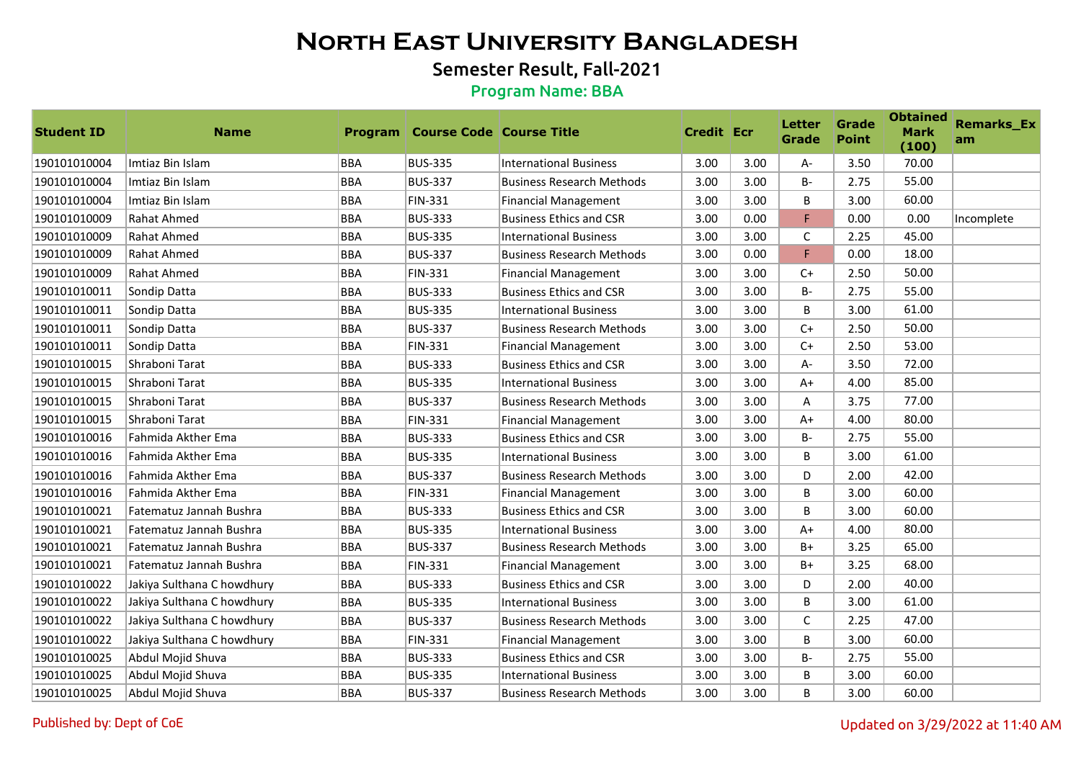### Semester Result, Fall-2021

| <b>Student ID</b> | <b>Name</b>                |            | <b>Program   Course Code   Course Title</b> |                                  | <b>Credit Ecr</b> |      | <b>Letter</b><br>Grade | Grade<br><b>Point</b> | <b>Obtained</b><br><b>Mark</b><br>(100) | <b>Remarks_Ex</b><br>am |
|-------------------|----------------------------|------------|---------------------------------------------|----------------------------------|-------------------|------|------------------------|-----------------------|-----------------------------------------|-------------------------|
| 190101010004      | Imtiaz Bin Islam           | <b>BBA</b> | <b>BUS-335</b>                              | <b>International Business</b>    | 3.00              | 3.00 | $A -$                  | 3.50                  | 70.00                                   |                         |
| 190101010004      | Imtiaz Bin Islam           | <b>BBA</b> | <b>BUS-337</b>                              | <b>Business Research Methods</b> | 3.00              | 3.00 | $B -$                  | 2.75                  | 55.00                                   |                         |
| 190101010004      | Imtiaz Bin Islam           | <b>BBA</b> | <b>FIN-331</b>                              | <b>Financial Management</b>      | 3.00              | 3.00 | B                      | 3.00                  | 60.00                                   |                         |
| 190101010009      | Rahat Ahmed                | <b>BBA</b> | <b>BUS-333</b>                              | <b>Business Ethics and CSR</b>   | 3.00              | 0.00 | F.                     | 0.00                  | 0.00                                    | Incomplete              |
| 190101010009      | Rahat Ahmed                | BBA        | <b>BUS-335</b>                              | <b>International Business</b>    | 3.00              | 3.00 | $\mathsf C$            | 2.25                  | 45.00                                   |                         |
| 190101010009      | Rahat Ahmed                | <b>BBA</b> | <b>BUS-337</b>                              | <b>Business Research Methods</b> | 3.00              | 0.00 | F                      | 0.00                  | 18.00                                   |                         |
| 190101010009      | Rahat Ahmed                | <b>BBA</b> | <b>FIN-331</b>                              | <b>Financial Management</b>      | 3.00              | 3.00 | $C+$                   | 2.50                  | 50.00                                   |                         |
| 190101010011      | Sondip Datta               | <b>BBA</b> | <b>BUS-333</b>                              | <b>Business Ethics and CSR</b>   | 3.00              | 3.00 | $B -$                  | 2.75                  | 55.00                                   |                         |
| 190101010011      | Sondip Datta               | <b>BBA</b> | <b>BUS-335</b>                              | <b>International Business</b>    | 3.00              | 3.00 | B                      | 3.00                  | 61.00                                   |                         |
| 190101010011      | Sondip Datta               | <b>BBA</b> | <b>BUS-337</b>                              | <b>Business Research Methods</b> | 3.00              | 3.00 | $C+$                   | 2.50                  | 50.00                                   |                         |
| 190101010011      | Sondip Datta               | <b>BBA</b> | <b>FIN-331</b>                              | <b>Financial Management</b>      | 3.00              | 3.00 | $C+$                   | 2.50                  | 53.00                                   |                         |
| 190101010015      | Shraboni Tarat             | BBA        | <b>BUS-333</b>                              | <b>Business Ethics and CSR</b>   | 3.00              | 3.00 | $A -$                  | 3.50                  | 72.00                                   |                         |
| 190101010015      | Shraboni Tarat             | <b>BBA</b> | <b>BUS-335</b>                              | <b>International Business</b>    | 3.00              | 3.00 | $A+$                   | 4.00                  | 85.00                                   |                         |
| 190101010015      | Shraboni Tarat             | <b>BBA</b> | <b>BUS-337</b>                              | <b>Business Research Methods</b> | 3.00              | 3.00 | А                      | 3.75                  | 77.00                                   |                         |
| 190101010015      | Shraboni Tarat             | <b>BBA</b> | <b>FIN-331</b>                              | <b>Financial Management</b>      | 3.00              | 3.00 | $A+$                   | 4.00                  | 80.00                                   |                         |
| 190101010016      | Fahmida Akther Ema         | <b>BBA</b> | <b>BUS-333</b>                              | <b>Business Ethics and CSR</b>   | 3.00              | 3.00 | $B -$                  | 2.75                  | 55.00                                   |                         |
| 190101010016      | Fahmida Akther Ema         | <b>BBA</b> | <b>BUS-335</b>                              | <b>International Business</b>    | 3.00              | 3.00 | B                      | 3.00                  | 61.00                                   |                         |
| 190101010016      | Fahmida Akther Ema         | <b>BBA</b> | <b>BUS-337</b>                              | <b>Business Research Methods</b> | 3.00              | 3.00 | D                      | 2.00                  | 42.00                                   |                         |
| 190101010016      | Fahmida Akther Ema         | BBA        | <b>FIN-331</b>                              | <b>Financial Management</b>      | 3.00              | 3.00 | B                      | 3.00                  | 60.00                                   |                         |
| 190101010021      | Fatematuz Jannah Bushra    | <b>BBA</b> | <b>BUS-333</b>                              | <b>Business Ethics and CSR</b>   | 3.00              | 3.00 | B                      | 3.00                  | 60.00                                   |                         |
| 190101010021      | Fatematuz Jannah Bushra    | BBA        | <b>BUS-335</b>                              | <b>International Business</b>    | 3.00              | 3.00 | $A+$                   | 4.00                  | 80.00                                   |                         |
| 190101010021      | Fatematuz Jannah Bushra    | <b>BBA</b> | <b>BUS-337</b>                              | <b>Business Research Methods</b> | 3.00              | 3.00 | $B+$                   | 3.25                  | 65.00                                   |                         |
| 190101010021      | Fatematuz Jannah Bushra    | <b>BBA</b> | <b>FIN-331</b>                              | <b>Financial Management</b>      | 3.00              | 3.00 | $B+$                   | 3.25                  | 68.00                                   |                         |
| 190101010022      | Jakiya Sulthana C howdhury | <b>BBA</b> | <b>BUS-333</b>                              | <b>Business Ethics and CSR</b>   | 3.00              | 3.00 | D                      | 2.00                  | 40.00                                   |                         |
| 190101010022      | Jakiya Sulthana C howdhury | <b>BBA</b> | <b>BUS-335</b>                              | <b>International Business</b>    | 3.00              | 3.00 | B                      | 3.00                  | 61.00                                   |                         |
| 190101010022      | Jakiya Sulthana C howdhury | <b>BBA</b> | <b>BUS-337</b>                              | <b>Business Research Methods</b> | 3.00              | 3.00 | C                      | 2.25                  | 47.00                                   |                         |
| 190101010022      | Jakiya Sulthana C howdhury | BBA        | <b>FIN-331</b>                              | <b>Financial Management</b>      | 3.00              | 3.00 | B                      | 3.00                  | 60.00                                   |                         |
| 190101010025      | Abdul Mojid Shuva          | BBA        | <b>BUS-333</b>                              | <b>Business Ethics and CSR</b>   | 3.00              | 3.00 | $B -$                  | 2.75                  | 55.00                                   |                         |
| 190101010025      | Abdul Mojid Shuva          | <b>BBA</b> | <b>BUS-335</b>                              | <b>International Business</b>    | 3.00              | 3.00 | B                      | 3.00                  | 60.00                                   |                         |
| 190101010025      | Abdul Mojid Shuva          | <b>BBA</b> | <b>BUS-337</b>                              | <b>Business Research Methods</b> | 3.00              | 3.00 | <sub>B</sub>           | 3.00                  | 60.00                                   |                         |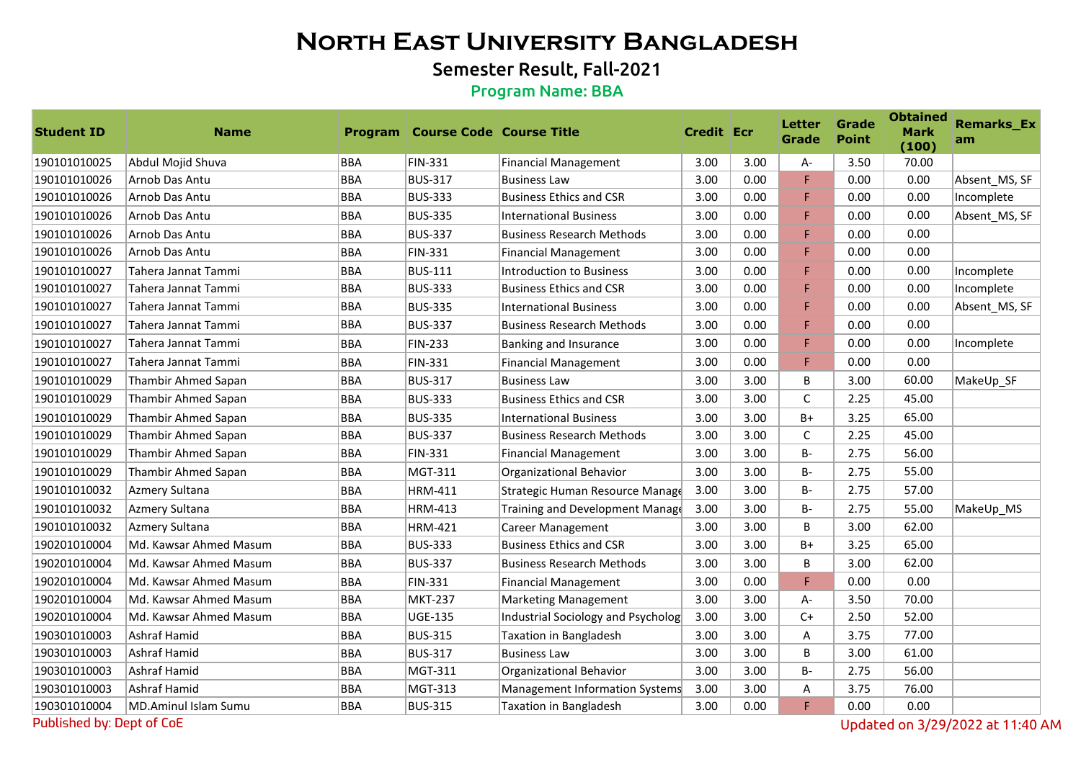### Semester Result, Fall-2021

#### Program Name: BBA

| <b>Student ID</b> | <b>Name</b>                 |            | <b>Program Course Code Course Title</b> |                                    | <b>Credit Ecr</b> |      | <b>Letter</b><br>Grade | Grade<br><b>Point</b> | <b>Obtained</b><br><b>Mark</b><br>(100) | <b>Remarks_Ex</b><br>am |
|-------------------|-----------------------------|------------|-----------------------------------------|------------------------------------|-------------------|------|------------------------|-----------------------|-----------------------------------------|-------------------------|
| 190101010025      | Abdul Mojid Shuva           | <b>BBA</b> | FIN-331                                 | <b>Financial Management</b>        | 3.00              | 3.00 | $A -$                  | 3.50                  | 70.00                                   |                         |
| 190101010026      | Arnob Das Antu              | <b>BBA</b> | <b>BUS-317</b>                          | <b>Business Law</b>                | 3.00              | 0.00 | F.                     | 0.00                  | 0.00                                    | Absent MS, SF           |
| 190101010026      | Arnob Das Antu              | <b>BBA</b> | <b>BUS-333</b>                          | <b>Business Ethics and CSR</b>     | 3.00              | 0.00 | F                      | 0.00                  | 0.00                                    | Incomplete              |
| 190101010026      | Arnob Das Antu              | <b>BBA</b> | <b>BUS-335</b>                          | <b>International Business</b>      | 3.00              | 0.00 | F.                     | 0.00                  | 0.00                                    | Absent_MS, SF           |
| 190101010026      | Arnob Das Antu              | <b>BBA</b> | <b>BUS-337</b>                          | Business Research Methods          | 3.00              | 0.00 | F.                     | 0.00                  | 0.00                                    |                         |
| 190101010026      | Arnob Das Antu              | <b>BBA</b> | <b>FIN-331</b>                          | <b>Financial Management</b>        | 3.00              | 0.00 | F.                     | 0.00                  | 0.00                                    |                         |
| 190101010027      | Tahera Jannat Tammi         | <b>BBA</b> | <b>BUS-111</b>                          | <b>Introduction to Business</b>    | 3.00              | 0.00 | F.                     | 0.00                  | 0.00                                    | Incomplete              |
| 190101010027      | Tahera Jannat Tammi         | <b>BBA</b> | <b>BUS-333</b>                          | <b>Business Ethics and CSR</b>     | 3.00              | 0.00 | F.                     | 0.00                  | 0.00                                    | Incomplete              |
| 190101010027      | Tahera Jannat Tammi         | <b>BBA</b> | <b>BUS-335</b>                          | International Business             | 3.00              | 0.00 | F                      | 0.00                  | 0.00                                    | Absent_MS, SF           |
| 190101010027      | Tahera Jannat Tammi         | <b>BBA</b> | <b>BUS-337</b>                          | <b>Business Research Methods</b>   | 3.00              | 0.00 | F                      | 0.00                  | 0.00                                    |                         |
| 190101010027      | Tahera Jannat Tammi         | <b>BBA</b> | <b>FIN-233</b>                          | Banking and Insurance              | 3.00              | 0.00 | F.                     | 0.00                  | 0.00                                    | Incomplete              |
| 190101010027      | Tahera Jannat Tammi         | <b>BBA</b> | FIN-331                                 | <b>Financial Management</b>        | 3.00              | 0.00 | F.                     | 0.00                  | 0.00                                    |                         |
| 190101010029      | Thambir Ahmed Sapan         | <b>BBA</b> | <b>BUS-317</b>                          | <b>Business Law</b>                | 3.00              | 3.00 | B                      | 3.00                  | 60.00                                   | MakeUp_SF               |
| 190101010029      | Thambir Ahmed Sapan         | <b>BBA</b> | <b>BUS-333</b>                          | <b>Business Ethics and CSR</b>     | 3.00              | 3.00 | C                      | 2.25                  | 45.00                                   |                         |
| 190101010029      | Thambir Ahmed Sapan         | <b>BBA</b> | <b>BUS-335</b>                          | <b>International Business</b>      | 3.00              | 3.00 | $B+$                   | 3.25                  | 65.00                                   |                         |
| 190101010029      | <b>Thambir Ahmed Sapan</b>  | <b>BBA</b> | <b>BUS-337</b>                          | <b>Business Research Methods</b>   | 3.00              | 3.00 | $\mathsf{C}$           | 2.25                  | 45.00                                   |                         |
| 190101010029      | Thambir Ahmed Sapan         | <b>BBA</b> | FIN-331                                 | <b>Financial Management</b>        | 3.00              | 3.00 | $B -$                  | 2.75                  | 56.00                                   |                         |
| 190101010029      | Thambir Ahmed Sapan         | <b>BBA</b> | MGT-311                                 | Organizational Behavior            | 3.00              | 3.00 | $B -$                  | 2.75                  | 55.00                                   |                         |
| 190101010032      | Azmery Sultana              | <b>BBA</b> | <b>HRM-411</b>                          | Strategic Human Resource Manage    | 3.00              | 3.00 | $B -$                  | 2.75                  | 57.00                                   |                         |
| 190101010032      | Azmery Sultana              | <b>BBA</b> | <b>HRM-413</b>                          | Training and Development Manage    | 3.00              | 3.00 | $B -$                  | 2.75                  | 55.00                                   | MakeUp_MS               |
| 190101010032      | Azmery Sultana              | <b>BBA</b> | <b>HRM-421</b>                          | <b>Career Management</b>           | 3.00              | 3.00 | B                      | 3.00                  | 62.00                                   |                         |
| 190201010004      | Md. Kawsar Ahmed Masum      | <b>BBA</b> | <b>BUS-333</b>                          | <b>Business Ethics and CSR</b>     | 3.00              | 3.00 | B+                     | 3.25                  | 65.00                                   |                         |
| 190201010004      | Md. Kawsar Ahmed Masum      | <b>BBA</b> | <b>BUS-337</b>                          | <b>Business Research Methods</b>   | 3.00              | 3.00 | B                      | 3.00                  | 62.00                                   |                         |
| 190201010004      | Md. Kawsar Ahmed Masum      | <b>BBA</b> | FIN-331                                 | <b>Financial Management</b>        | 3.00              | 0.00 | F.                     | 0.00                  | 0.00                                    |                         |
| 190201010004      | Md. Kawsar Ahmed Masum      | <b>BBA</b> | <b>MKT-237</b>                          | <b>Marketing Management</b>        | 3.00              | 3.00 | $A -$                  | 3.50                  | 70.00                                   |                         |
| 190201010004      | Md. Kawsar Ahmed Masum      | <b>BBA</b> | <b>UGE-135</b>                          | Industrial Sociology and Psycholog | 3.00              | 3.00 | $C+$                   | 2.50                  | 52.00                                   |                         |
| 190301010003      | Ashraf Hamid                | <b>BBA</b> | <b>BUS-315</b>                          | Taxation in Bangladesh             | 3.00              | 3.00 | Α                      | 3.75                  | 77.00                                   |                         |
| 190301010003      | Ashraf Hamid                | <b>BBA</b> | <b>BUS-317</b>                          | Business Law                       | 3.00              | 3.00 | B                      | 3.00                  | 61.00                                   |                         |
| 190301010003      | Ashraf Hamid                | <b>BBA</b> | MGT-311                                 | Organizational Behavior            | 3.00              | 3.00 | $B -$                  | 2.75                  | 56.00                                   |                         |
| 190301010003      | Ashraf Hamid                | <b>BBA</b> | MGT-313                                 | Management Information Systems     | 3.00              | 3.00 | A                      | 3.75                  | 76.00                                   |                         |
| 190301010004      | <b>MD.Aminul Islam Sumu</b> | <b>BBA</b> | <b>BUS-315</b>                          | <b>Taxation in Bangladesh</b>      | 3.00              | 0.00 | F.                     | 0.00                  | 0.00                                    |                         |

Published by: Dept of CoE Updated on 3/29/2022 at 11:40 AM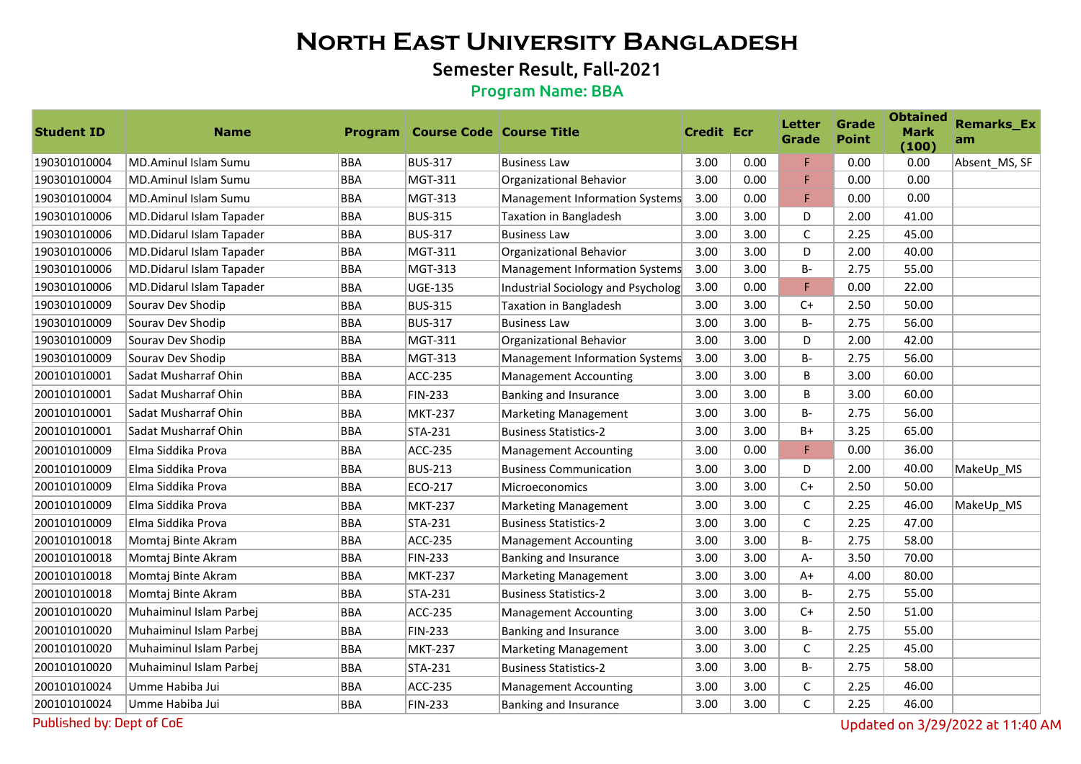### Semester Result, Fall-2021

#### Program Name: BBA

| <b>Student ID</b> | <b>Name</b>                 |            | <b>Program   Course Code   Course Title</b> |                                       | <b>Credit Ecr</b> |      | <b>Letter</b><br>Grade | Grade<br><b>Point</b> | <b>Obtained</b><br><b>Mark</b><br>(100) | <b>Remarks_Ex</b><br>am |
|-------------------|-----------------------------|------------|---------------------------------------------|---------------------------------------|-------------------|------|------------------------|-----------------------|-----------------------------------------|-------------------------|
| 190301010004      | MD.Aminul Islam Sumu        | <b>BBA</b> | <b>BUS-317</b>                              | <b>Business Law</b>                   | 3.00              | 0.00 | F                      | 0.00                  | 0.00                                    | Absent MS, SF           |
| 190301010004      | <b>MD.Aminul Islam Sumu</b> | <b>BBA</b> | MGT-311                                     | Organizational Behavior               | 3.00              | 0.00 | F                      | 0.00                  | 0.00                                    |                         |
| 190301010004      | MD.Aminul Islam Sumu        | <b>BBA</b> | <b>MGT-313</b>                              | Management Information Systems        | 3.00              | 0.00 | F                      | 0.00                  | 0.00                                    |                         |
| 190301010006      | MD.Didarul Islam Tapader    | <b>BBA</b> | <b>BUS-315</b>                              | <b>Taxation in Bangladesh</b>         | 3.00              | 3.00 | D                      | 2.00                  | 41.00                                   |                         |
| 190301010006      | MD.Didarul Islam Tapader    | <b>BBA</b> | <b>BUS-317</b>                              | Business Law                          | 3.00              | 3.00 | C                      | 2.25                  | 45.00                                   |                         |
| 190301010006      | MD.Didarul Islam Tapader    | <b>BBA</b> | MGT-311                                     | Organizational Behavior               | 3.00              | 3.00 | D                      | 2.00                  | 40.00                                   |                         |
| 190301010006      | MD.Didarul Islam Tapader    | <b>BBA</b> | MGT-313                                     | <b>Management Information Systems</b> | 3.00              | 3.00 | $B -$                  | 2.75                  | 55.00                                   |                         |
| 190301010006      | MD.Didarul Islam Tapader    | <b>BBA</b> | <b>UGE-135</b>                              | Industrial Sociology and Psycholog    | 3.00              | 0.00 | F                      | 0.00                  | 22.00                                   |                         |
| 190301010009      | Sourav Dev Shodip           | <b>BBA</b> | <b>BUS-315</b>                              | Taxation in Bangladesh                | 3.00              | 3.00 | C+                     | 2.50                  | 50.00                                   |                         |
| 190301010009      | Sourav Dev Shodip           | <b>BBA</b> | <b>BUS-317</b>                              | <b>Business Law</b>                   | 3.00              | 3.00 | $B -$                  | 2.75                  | 56.00                                   |                         |
| 190301010009      | Sourav Dev Shodip           | <b>BBA</b> | MGT-311                                     | Organizational Behavior               | 3.00              | 3.00 | D                      | 2.00                  | 42.00                                   |                         |
| 190301010009      | Sourav Dev Shodip           | <b>BBA</b> | MGT-313                                     | <b>Management Information Systems</b> | 3.00              | 3.00 | <b>B-</b>              | 2.75                  | 56.00                                   |                         |
| 200101010001      | Sadat Musharraf Ohin        | BBA        | <b>ACC-235</b>                              | <b>Management Accounting</b>          | 3.00              | 3.00 | B                      | 3.00                  | 60.00                                   |                         |
| 200101010001      | Sadat Musharraf Ohin        | <b>BBA</b> | <b>FIN-233</b>                              | Banking and Insurance                 | 3.00              | 3.00 | B                      | 3.00                  | 60.00                                   |                         |
| 200101010001      | Sadat Musharraf Ohin        | <b>BBA</b> | <b>MKT-237</b>                              | <b>Marketing Management</b>           | 3.00              | 3.00 | <b>B-</b>              | 2.75                  | 56.00                                   |                         |
| 200101010001      | Sadat Musharraf Ohin        | <b>BBA</b> | <b>STA-231</b>                              | <b>Business Statistics-2</b>          | 3.00              | 3.00 | B+                     | 3.25                  | 65.00                                   |                         |
| 200101010009      | Elma Siddika Prova          | <b>BBA</b> | <b>ACC-235</b>                              | <b>Management Accounting</b>          | 3.00              | 0.00 | F                      | 0.00                  | 36.00                                   |                         |
| 200101010009      | Elma Siddika Prova          | <b>BBA</b> | <b>BUS-213</b>                              | <b>Business Communication</b>         | 3.00              | 3.00 | D                      | 2.00                  | 40.00                                   | MakeUp MS               |
| 200101010009      | Elma Siddika Prova          | <b>BBA</b> | ECO-217                                     | <b>Microeconomics</b>                 | 3.00              | 3.00 | C+                     | 2.50                  | 50.00                                   |                         |
| 200101010009      | Elma Siddika Prova          | <b>BBA</b> | <b>MKT-237</b>                              | <b>Marketing Management</b>           | 3.00              | 3.00 | C                      | 2.25                  | 46.00                                   | MakeUp_MS               |
| 200101010009      | Elma Siddika Prova          | <b>BBA</b> | <b>STA-231</b>                              | <b>Business Statistics-2</b>          | 3.00              | 3.00 | C                      | 2.25                  | 47.00                                   |                         |
| 200101010018      | Momtaj Binte Akram          | <b>BBA</b> | <b>ACC-235</b>                              | <b>Management Accounting</b>          | 3.00              | 3.00 | $B -$                  | 2.75                  | 58.00                                   |                         |
| 200101010018      | Momtaj Binte Akram          | <b>BBA</b> | <b>FIN-233</b>                              | Banking and Insurance                 | 3.00              | 3.00 | А-                     | 3.50                  | 70.00                                   |                         |
| 200101010018      | Momtaj Binte Akram          | <b>BBA</b> | <b>MKT-237</b>                              | <b>Marketing Management</b>           | 3.00              | 3.00 | A+                     | 4.00                  | 80.00                                   |                         |
| 200101010018      | Momtaj Binte Akram          | <b>BBA</b> | <b>STA-231</b>                              | <b>Business Statistics-2</b>          | 3.00              | 3.00 | $B -$                  | 2.75                  | 55.00                                   |                         |
| 200101010020      | Muhaiminul Islam Parbej     | <b>BBA</b> | <b>ACC-235</b>                              | <b>Management Accounting</b>          | 3.00              | 3.00 | C+                     | 2.50                  | 51.00                                   |                         |
| 200101010020      | Muhaiminul Islam Parbej     | <b>BBA</b> | <b>FIN-233</b>                              | Banking and Insurance                 | 3.00              | 3.00 | <b>B-</b>              | 2.75                  | 55.00                                   |                         |
| 200101010020      | Muhaiminul Islam Parbej     | <b>BBA</b> | <b>MKT-237</b>                              | <b>Marketing Management</b>           | 3.00              | 3.00 | C                      | 2.25                  | 45.00                                   |                         |
| 200101010020      | Muhaiminul Islam Parbej     | <b>BBA</b> | STA-231                                     | <b>Business Statistics-2</b>          | 3.00              | 3.00 | $B -$                  | 2.75                  | 58.00                                   |                         |
| 200101010024      | Umme Habiba Jui             | <b>BBA</b> | <b>ACC-235</b>                              | <b>Management Accounting</b>          | 3.00              | 3.00 | C                      | 2.25                  | 46.00                                   |                         |
| 200101010024      | Umme Habiba Jui             | <b>BBA</b> | <b>FIN-233</b>                              | Banking and Insurance                 | 3.00              | 3.00 | C                      | 2.25                  | 46.00                                   |                         |

Published by: Dept of CoE Updated on 3/29/2022 at 11:40 AM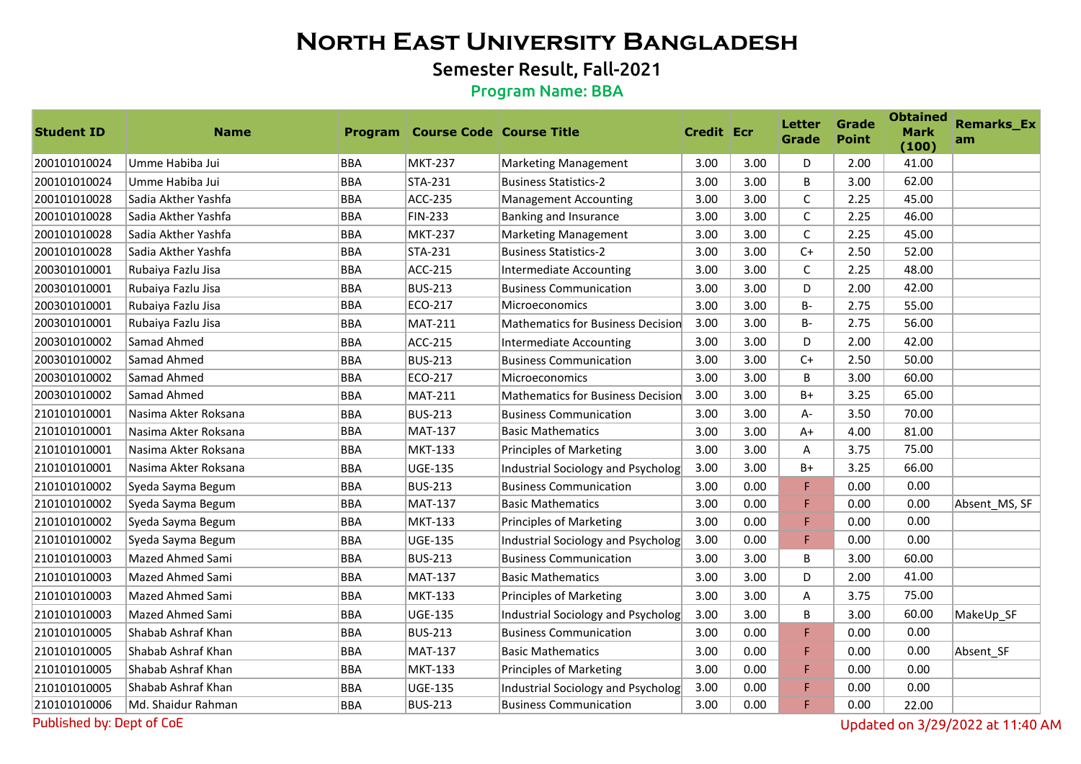### Semester Result, Fall-2021

#### Program Name: BBA

| <b>Student ID</b> | <b>Name</b>             |            | <b>Program   Course Code   Course Title</b> |                                           | <b>Credit Ecr</b> |      | <b>Letter</b><br>Grade | Grade<br><b>Point</b> | <b>Obtained</b><br><b>Mark</b><br>(100) | <b>Remarks_Ex</b><br>am |
|-------------------|-------------------------|------------|---------------------------------------------|-------------------------------------------|-------------------|------|------------------------|-----------------------|-----------------------------------------|-------------------------|
| 200101010024      | Umme Habiba Jui         | BBA        | <b>MKT-237</b>                              | <b>Marketing Management</b>               | 3.00              | 3.00 | D                      | 2.00                  | 41.00                                   |                         |
| 200101010024      | Umme Habiba Jui         | <b>BBA</b> | STA-231                                     | <b>Business Statistics-2</b>              | 3.00              | 3.00 | B                      | 3.00                  | 62.00                                   |                         |
| 200101010028      | Sadia Akther Yashfa     | BBA        | <b>ACC-235</b>                              | <b>Management Accounting</b>              | 3.00              | 3.00 | C                      | 2.25                  | 45.00                                   |                         |
| 200101010028      | Sadia Akther Yashfa     | <b>BBA</b> | FIN-233                                     | Banking and Insurance                     | 3.00              | 3.00 | $\mathsf C$            | 2.25                  | 46.00                                   |                         |
| 200101010028      | Sadia Akther Yashfa     | <b>BBA</b> | <b>MKT-237</b>                              | Marketing Management                      | 3.00              | 3.00 | C                      | 2.25                  | 45.00                                   |                         |
| 200101010028      | Sadia Akther Yashfa     | BBA        | STA-231                                     | <b>Business Statistics-2</b>              | 3.00              | 3.00 | $C+$                   | 2.50                  | 52.00                                   |                         |
| 200301010001      | Rubaiya Fazlu Jisa      | <b>BBA</b> | ACC-215                                     | <b>Intermediate Accounting</b>            | 3.00              | 3.00 | C                      | 2.25                  | 48.00                                   |                         |
| 200301010001      | Rubaiya Fazlu Jisa      | <b>BBA</b> | <b>BUS-213</b>                              | <b>Business Communication</b>             | 3.00              | 3.00 | D                      | 2.00                  | 42.00                                   |                         |
| 200301010001      | Rubaiya Fazlu Jisa      | BBA        | ECO-217                                     | Microeconomics                            | 3.00              | 3.00 | B-                     | 2.75                  | 55.00                                   |                         |
| 200301010001      | Rubaiya Fazlu Jisa      | BBA        | MAT-211                                     | <b>Mathematics for Business Decision</b>  | 3.00              | 3.00 | <b>B</b> -             | 2.75                  | 56.00                                   |                         |
| 200301010002      | Samad Ahmed             | <b>BBA</b> | ACC-215                                     | <b>Intermediate Accounting</b>            | 3.00              | 3.00 | D                      | 2.00                  | 42.00                                   |                         |
| 200301010002      | Samad Ahmed             | BBA        | <b>BUS-213</b>                              | <b>Business Communication</b>             | 3.00              | 3.00 | $C+$                   | 2.50                  | 50.00                                   |                         |
| 200301010002      | Samad Ahmed             | <b>BBA</b> | ECO-217                                     | Microeconomics                            | 3.00              | 3.00 | B                      | 3.00                  | 60.00                                   |                         |
| 200301010002      | Samad Ahmed             | <b>BBA</b> | MAT-211                                     | <b>Mathematics for Business Decision</b>  | 3.00              | 3.00 | $B+$                   | 3.25                  | 65.00                                   |                         |
| 210101010001      | Nasima Akter Roksana    | BBA        | <b>BUS-213</b>                              | <b>Business Communication</b>             | 3.00              | 3.00 | $A -$                  | 3.50                  | 70.00                                   |                         |
| 210101010001      | Nasima Akter Roksana    | <b>BBA</b> | <b>MAT-137</b>                              | <b>Basic Mathematics</b>                  | 3.00              | 3.00 | A+                     | 4.00                  | 81.00                                   |                         |
| 210101010001      | Nasima Akter Roksana    | <b>BBA</b> | <b>MKT-133</b>                              | Principles of Marketing                   | 3.00              | 3.00 | A                      | 3.75                  | 75.00                                   |                         |
| 210101010001      | Nasima Akter Roksana    | BBA        | <b>UGE-135</b>                              | <b>Industrial Sociology and Psycholog</b> | 3.00              | 3.00 | $B+$                   | 3.25                  | 66.00                                   |                         |
| 210101010002      | Syeda Sayma Begum       | BBA        | <b>BUS-213</b>                              | <b>Business Communication</b>             | 3.00              | 0.00 | F                      | 0.00                  | 0.00                                    |                         |
| 210101010002      | Syeda Sayma Begum       | BBA        | <b>MAT-137</b>                              | <b>Basic Mathematics</b>                  | 3.00              | 0.00 | F                      | 0.00                  | 0.00                                    | Absent MS, SF           |
| 210101010002      | Syeda Sayma Begum       | BBA        | <b>MKT-133</b>                              | Principles of Marketing                   | 3.00              | 0.00 | F                      | 0.00                  | 0.00                                    |                         |
| 210101010002      | Syeda Sayma Begum       | <b>BBA</b> | <b>UGE-135</b>                              | Industrial Sociology and Psycholog        | 3.00              | 0.00 | F                      | 0.00                  | 0.00                                    |                         |
| 210101010003      | Mazed Ahmed Sami        | <b>BBA</b> | <b>BUS-213</b>                              | <b>Business Communication</b>             | 3.00              | 3.00 | B                      | 3.00                  | 60.00                                   |                         |
| 210101010003      | <b>Mazed Ahmed Sami</b> | BBA        | <b>MAT-137</b>                              | <b>Basic Mathematics</b>                  | 3.00              | 3.00 | D                      | 2.00                  | 41.00                                   |                         |
| 210101010003      | Mazed Ahmed Sami        | BBA        | <b>MKT-133</b>                              | <b>Principles of Marketing</b>            | 3.00              | 3.00 | Α                      | 3.75                  | 75.00                                   |                         |
| 210101010003      | <b>Mazed Ahmed Sami</b> | BBA        | <b>UGE-135</b>                              | Industrial Sociology and Psycholog        | 3.00              | 3.00 | B                      | 3.00                  | 60.00                                   | MakeUp_SF               |
| 210101010005      | Shabab Ashraf Khan      | <b>BBA</b> | <b>BUS-213</b>                              | <b>Business Communication</b>             | 3.00              | 0.00 | F                      | 0.00                  | 0.00                                    |                         |
| 210101010005      | Shabab Ashraf Khan      | <b>BBA</b> | <b>MAT-137</b>                              | <b>Basic Mathematics</b>                  | 3.00              | 0.00 | F                      | 0.00                  | 0.00                                    | Absent SF               |
| 210101010005      | Shabab Ashraf Khan      | <b>BBA</b> | <b>MKT-133</b>                              | Principles of Marketing                   | 3.00              | 0.00 | F                      | 0.00                  | 0.00                                    |                         |
| 210101010005      | Shabab Ashraf Khan      | <b>BBA</b> | <b>UGE-135</b>                              | Industrial Sociology and Psycholog        | 3.00              | 0.00 | F                      | 0.00                  | 0.00                                    |                         |
| 210101010006      | Md. Shaidur Rahman      | <b>BBA</b> | <b>BUS-213</b>                              | <b>Business Communication</b>             | 3.00              | 0.00 | F                      | 0.00                  | 22.00                                   |                         |

Published by: Dept of CoE Updated on 3/29/2022 at 11:40 AM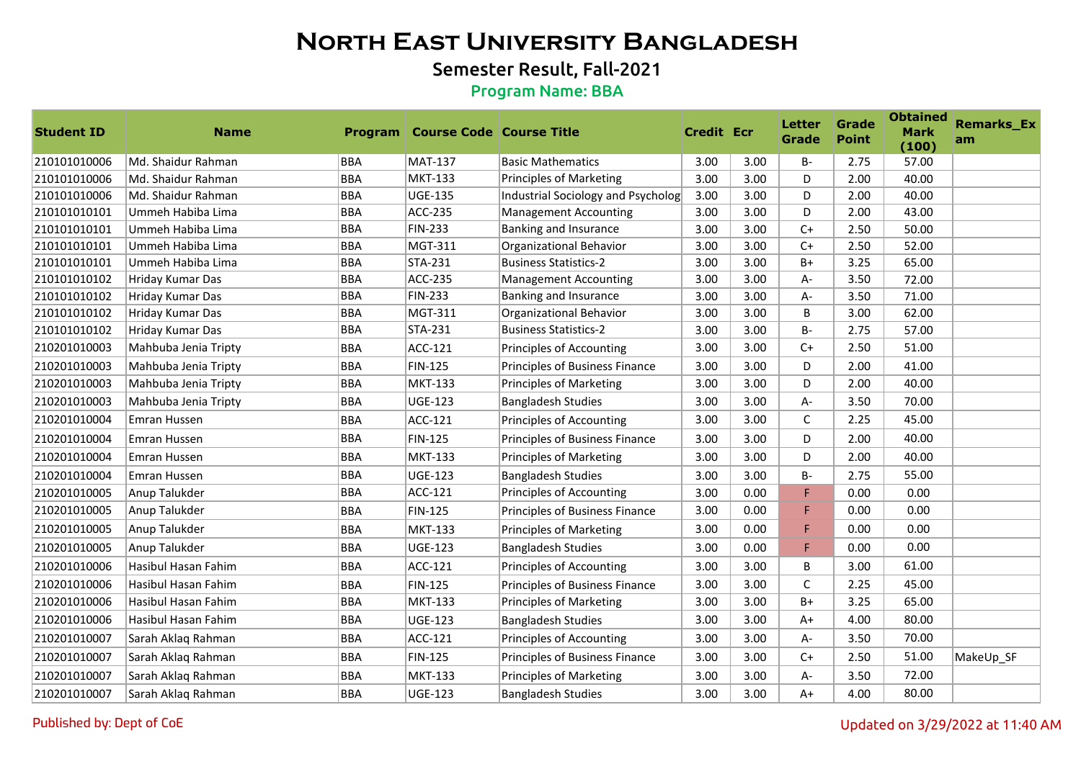### Semester Result, Fall-2021

| <b>Student ID</b> | <b>Name</b>          |            | <b>Program   Course Code   Course Title</b> |                                    | <b>Credit Ecr</b> |      | <b>Letter</b><br><b>Grade</b> | Grade<br><b>Point</b> | <b>Obtained</b><br><b>Mark</b><br>(100) | <b>Remarks_Ex</b><br>am |
|-------------------|----------------------|------------|---------------------------------------------|------------------------------------|-------------------|------|-------------------------------|-----------------------|-----------------------------------------|-------------------------|
| 210101010006      | Md. Shaidur Rahman   | <b>BBA</b> | MAT-137                                     | <b>Basic Mathematics</b>           | 3.00              | 3.00 | B-                            | 2.75                  | 57.00                                   |                         |
| 210101010006      | Md. Shaidur Rahman   | <b>BBA</b> | MKT-133                                     | <b>Principles of Marketing</b>     | 3.00              | 3.00 | D                             | 2.00                  | 40.00                                   |                         |
| 210101010006      | Md. Shaidur Rahman   | <b>BBA</b> | UGE-135                                     | Industrial Sociology and Psycholog | 3.00              | 3.00 | D                             | 2.00                  | 40.00                                   |                         |
| 210101010101      | Ummeh Habiba Lima    | <b>BBA</b> | <b>ACC-235</b>                              | <b>Management Accounting</b>       | 3.00              | 3.00 | D                             | 2.00                  | 43.00                                   |                         |
| 210101010101      | Ummeh Habiba Lima    | BBA        | <b>FIN-233</b>                              | Banking and Insurance              | 3.00              | 3.00 | $C+$                          | 2.50                  | 50.00                                   |                         |
| 210101010101      | Ummeh Habiba Lima    | BBA        | MGT-311                                     | Organizational Behavior            | 3.00              | 3.00 | $C+$                          | 2.50                  | 52.00                                   |                         |
| 210101010101      | Ummeh Habiba Lima    | BBA        | STA-231                                     | <b>Business Statistics-2</b>       | 3.00              | 3.00 | $B+$                          | 3.25                  | 65.00                                   |                         |
| 210101010102      | Hriday Kumar Das     | <b>BBA</b> | <b>ACC-235</b>                              | <b>Management Accounting</b>       | 3.00              | 3.00 | A-                            | 3.50                  | 72.00                                   |                         |
| 210101010102      | Hriday Kumar Das     | <b>BBA</b> | <b>FIN-233</b>                              | Banking and Insurance              | 3.00              | 3.00 | $A -$                         | 3.50                  | 71.00                                   |                         |
| 210101010102      | Hriday Kumar Das     | BBA        | MGT-311                                     | Organizational Behavior            | 3.00              | 3.00 | B                             | 3.00                  | 62.00                                   |                         |
| 210101010102      | Hriday Kumar Das     | <b>BBA</b> | <b>STA-231</b>                              | <b>Business Statistics-2</b>       | 3.00              | 3.00 | B-                            | 2.75                  | 57.00                                   |                         |
| 210201010003      | Mahbuba Jenia Tripty | BBA        | <b>ACC-121</b>                              | Principles of Accounting           | 3.00              | 3.00 | $C+$                          | 2.50                  | 51.00                                   |                         |
| 210201010003      | Mahbuba Jenia Tripty | <b>BBA</b> | <b>FIN-125</b>                              | Principles of Business Finance     | 3.00              | 3.00 | D                             | 2.00                  | 41.00                                   |                         |
| 210201010003      | Mahbuba Jenia Tripty | <b>BBA</b> | MKT-133                                     | Principles of Marketing            | 3.00              | 3.00 | D                             | 2.00                  | 40.00                                   |                         |
| 210201010003      | Mahbuba Jenia Tripty | <b>BBA</b> | UGE-123                                     | <b>Bangladesh Studies</b>          | 3.00              | 3.00 | A-                            | 3.50                  | 70.00                                   |                         |
| 210201010004      | Emran Hussen         | BBA        | <b>ACC-121</b>                              | Principles of Accounting           | 3.00              | 3.00 | C                             | 2.25                  | 45.00                                   |                         |
| 210201010004      | Emran Hussen         | BBA        | <b>FIN-125</b>                              | Principles of Business Finance     | 3.00              | 3.00 | D                             | 2.00                  | 40.00                                   |                         |
| 210201010004      | Emran Hussen         | BBA        | <b>MKT-133</b>                              | <b>Principles of Marketing</b>     | 3.00              | 3.00 | D                             | 2.00                  | 40.00                                   |                         |
| 210201010004      | Emran Hussen         | BBA        | <b>UGE-123</b>                              | <b>Bangladesh Studies</b>          | 3.00              | 3.00 | B-                            | 2.75                  | 55.00                                   |                         |
| 210201010005      | Anup Talukder        | <b>BBA</b> | <b>ACC-121</b>                              | Principles of Accounting           | 3.00              | 0.00 | F                             | 0.00                  | 0.00                                    |                         |
| 210201010005      | Anup Talukder        | BBA        | FIN-125                                     | Principles of Business Finance     | 3.00              | 0.00 | F                             | 0.00                  | 0.00                                    |                         |
| 210201010005      | Anup Talukder        | BBA        | MKT-133                                     | <b>Principles of Marketing</b>     | 3.00              | 0.00 | F                             | 0.00                  | 0.00                                    |                         |
| 210201010005      | Anup Talukder        | <b>BBA</b> | <b>UGE-123</b>                              | <b>Bangladesh Studies</b>          | 3.00              | 0.00 | F                             | 0.00                  | 0.00                                    |                         |
| 210201010006      | Hasibul Hasan Fahim  | BBA        | <b>ACC-121</b>                              | Principles of Accounting           | 3.00              | 3.00 | B                             | 3.00                  | 61.00                                   |                         |
| 210201010006      | Hasibul Hasan Fahim  | BBA        | FIN-125                                     | Principles of Business Finance     | 3.00              | 3.00 | C                             | 2.25                  | 45.00                                   |                         |
| 210201010006      | Hasibul Hasan Fahim  | <b>BBA</b> | MKT-133                                     | <b>Principles of Marketing</b>     | 3.00              | 3.00 | $B+$                          | 3.25                  | 65.00                                   |                         |
| 210201010006      | Hasibul Hasan Fahim  | <b>BBA</b> | <b>UGE-123</b>                              | <b>Bangladesh Studies</b>          | 3.00              | 3.00 | A+                            | 4.00                  | 80.00                                   |                         |
| 210201010007      | Sarah Aklag Rahman   | <b>BBA</b> | <b>ACC-121</b>                              | Principles of Accounting           | 3.00              | 3.00 | A-                            | 3.50                  | 70.00                                   |                         |
| 210201010007      | Sarah Aklag Rahman   | <b>BBA</b> | <b>FIN-125</b>                              | Principles of Business Finance     | 3.00              | 3.00 | $C+$                          | 2.50                  | 51.00                                   | MakeUp SF               |
| 210201010007      | Sarah Aklaq Rahman   | <b>BBA</b> | <b>MKT-133</b>                              | <b>Principles of Marketing</b>     | 3.00              | 3.00 | A-                            | 3.50                  | 72.00                                   |                         |
| 210201010007      | Sarah Aklag Rahman   | <b>BBA</b> | <b>UGE-123</b>                              | <b>Bangladesh Studies</b>          | 3.00              | 3.00 | A+                            | 4.00                  | 80.00                                   |                         |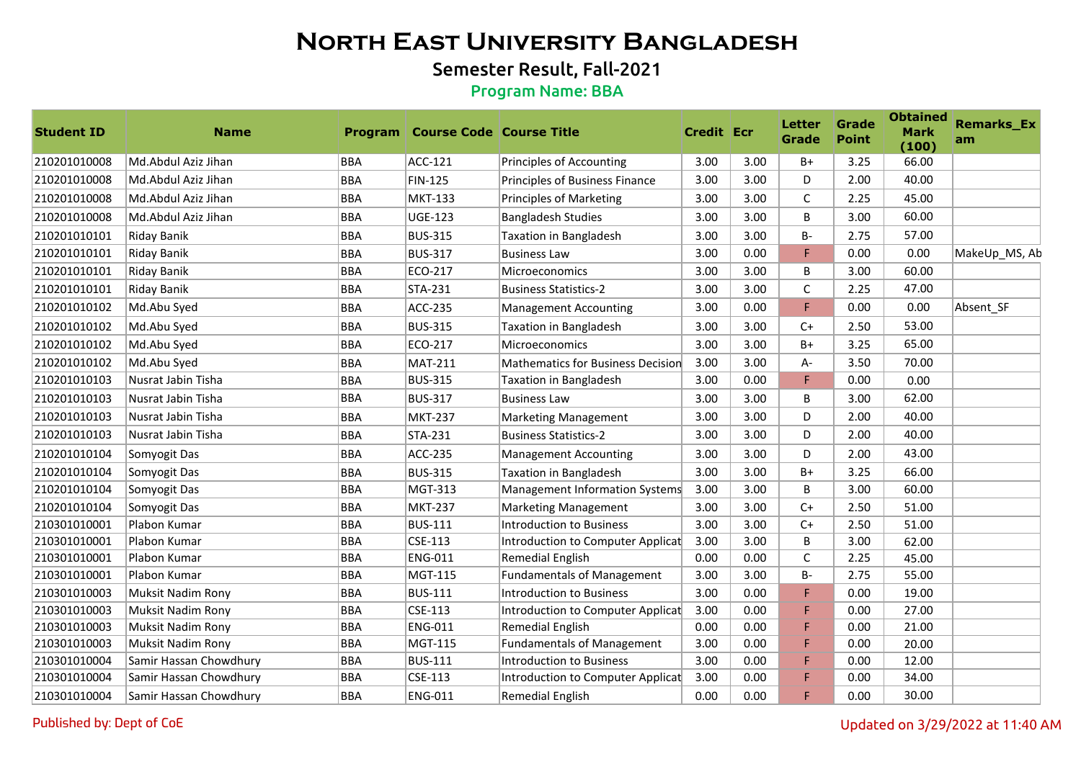### Semester Result, Fall-2021

| <b>Student ID</b> | <b>Name</b>              |            | <b>Program   Course Code   Course Title</b> |                                   | Credit Ecr |      | <b>Letter</b><br>Grade | Grade<br><b>Point</b> | <b>Obtained</b><br><b>Mark</b><br>(100) | <b>Remarks_Ex</b><br>am |
|-------------------|--------------------------|------------|---------------------------------------------|-----------------------------------|------------|------|------------------------|-----------------------|-----------------------------------------|-------------------------|
| 210201010008      | Md.Abdul Aziz Jihan      | <b>BBA</b> | ACC-121                                     | <b>Principles of Accounting</b>   | 3.00       | 3.00 | B+                     | 3.25                  | 66.00                                   |                         |
| 210201010008      | Md.Abdul Aziz Jihan      | <b>BBA</b> | <b>FIN-125</b>                              | Principles of Business Finance    | 3.00       | 3.00 | D                      | 2.00                  | 40.00                                   |                         |
| 210201010008      | Md.Abdul Aziz Jihan      | <b>BBA</b> | <b>MKT-133</b>                              | <b>Principles of Marketing</b>    | 3.00       | 3.00 | $\mathsf{C}$           | 2.25                  | 45.00                                   |                         |
| 210201010008      | Md.Abdul Aziz Jihan      | <b>BBA</b> | <b>UGE-123</b>                              | <b>Bangladesh Studies</b>         | 3.00       | 3.00 | B                      | 3.00                  | 60.00                                   |                         |
| 210201010101      | Riday Banik              | <b>BBA</b> | <b>BUS-315</b>                              | Taxation in Bangladesh            | 3.00       | 3.00 | B-                     | 2.75                  | 57.00                                   |                         |
| 210201010101      | Riday Banik              | <b>BBA</b> | <b>BUS-317</b>                              | <b>Business Law</b>               | 3.00       | 0.00 | F                      | 0.00                  | 0.00                                    | MakeUp MS, Ab           |
| 210201010101      | Riday Banik              | <b>BBA</b> | ECO-217                                     | Microeconomics                    | 3.00       | 3.00 | B                      | 3.00                  | 60.00                                   |                         |
| 210201010101      | Riday Banik              | <b>BBA</b> | STA-231                                     | <b>Business Statistics-2</b>      | 3.00       | 3.00 | $\mathsf C$            | 2.25                  | 47.00                                   |                         |
| 210201010102      | Md.Abu Syed              | <b>BBA</b> | <b>ACC-235</b>                              | <b>Management Accounting</b>      | 3.00       | 0.00 | F                      | 0.00                  | 0.00                                    | Absent SF               |
| 210201010102      | Md.Abu Syed              | <b>BBA</b> | <b>BUS-315</b>                              | Taxation in Bangladesh            | 3.00       | 3.00 | $C+$                   | 2.50                  | 53.00                                   |                         |
| 210201010102      | Md.Abu Syed              | <b>BBA</b> | ECO-217                                     | <b>Microeconomics</b>             | 3.00       | 3.00 | B+                     | 3.25                  | 65.00                                   |                         |
| 210201010102      | Md.Abu Syed              | <b>BBA</b> | <b>MAT-211</b>                              | Mathematics for Business Decision | 3.00       | 3.00 | A-                     | 3.50                  | 70.00                                   |                         |
| 210201010103      | Nusrat Jabin Tisha       | <b>BBA</b> | <b>BUS-315</b>                              | Taxation in Bangladesh            | 3.00       | 0.00 | F                      | 0.00                  | 0.00                                    |                         |
| 210201010103      | Nusrat Jabin Tisha       | <b>BBA</b> | <b>BUS-317</b>                              | <b>Business Law</b>               | 3.00       | 3.00 | B                      | 3.00                  | 62.00                                   |                         |
| 210201010103      | Nusrat Jabin Tisha       | <b>BBA</b> | <b>MKT-237</b>                              | <b>Marketing Management</b>       | 3.00       | 3.00 | D                      | 2.00                  | 40.00                                   |                         |
| 210201010103      | Nusrat Jabin Tisha       | <b>BBA</b> | <b>STA-231</b>                              | <b>Business Statistics-2</b>      | 3.00       | 3.00 | D                      | 2.00                  | 40.00                                   |                         |
| 210201010104      | Somyogit Das             | <b>BBA</b> | ACC-235                                     | <b>Management Accounting</b>      | 3.00       | 3.00 | D                      | 2.00                  | 43.00                                   |                         |
| 210201010104      | Somyogit Das             | <b>BBA</b> | <b>BUS-315</b>                              | Taxation in Bangladesh            | 3.00       | 3.00 | B+                     | 3.25                  | 66.00                                   |                         |
| 210201010104      | Somyogit Das             | <b>BBA</b> | <b>MGT-313</b>                              | Management Information Systems    | 3.00       | 3.00 | B                      | 3.00                  | 60.00                                   |                         |
| 210201010104      | Somyogit Das             | <b>BBA</b> | <b>MKT-237</b>                              | <b>Marketing Management</b>       | 3.00       | 3.00 | $C+$                   | 2.50                  | 51.00                                   |                         |
| 210301010001      | Plabon Kumar             | <b>BBA</b> | <b>BUS-111</b>                              | <b>Introduction to Business</b>   | 3.00       | 3.00 | $C+$                   | 2.50                  | 51.00                                   |                         |
| 210301010001      | Plabon Kumar             | <b>BBA</b> | CSE-113                                     | Introduction to Computer Applicat | 3.00       | 3.00 | B                      | 3.00                  | 62.00                                   |                         |
| 210301010001      | Plabon Kumar             | <b>BBA</b> | <b>ENG-011</b>                              | <b>Remedial English</b>           | 0.00       | 0.00 | $\mathsf C$            | 2.25                  | 45.00                                   |                         |
| 210301010001      | Plabon Kumar             | <b>BBA</b> | <b>MGT-115</b>                              | <b>Fundamentals of Management</b> | 3.00       | 3.00 | <b>B-</b>              | 2.75                  | 55.00                                   |                         |
| 210301010003      | <b>Muksit Nadim Rony</b> | <b>BBA</b> | <b>BUS-111</b>                              | Introduction to Business          | 3.00       | 0.00 | F                      | 0.00                  | 19.00                                   |                         |
| 210301010003      | Muksit Nadim Rony        | <b>BBA</b> | CSE-113                                     | Introduction to Computer Applicat | 3.00       | 0.00 | F                      | 0.00                  | 27.00                                   |                         |
| 210301010003      | Muksit Nadim Rony        | <b>BBA</b> | <b>ENG-011</b>                              | <b>Remedial English</b>           | 0.00       | 0.00 | F                      | 0.00                  | 21.00                                   |                         |
| 210301010003      | Muksit Nadim Rony        | <b>BBA</b> | <b>MGT-115</b>                              | <b>Fundamentals of Management</b> | 3.00       | 0.00 | F.                     | 0.00                  | 20.00                                   |                         |
| 210301010004      | Samir Hassan Chowdhury   | <b>BBA</b> | <b>BUS-111</b>                              | <b>Introduction to Business</b>   | 3.00       | 0.00 | F.                     | 0.00                  | 12.00                                   |                         |
| 210301010004      | Samir Hassan Chowdhury   | <b>BBA</b> | CSE-113                                     | Introduction to Computer Applicat | 3.00       | 0.00 | F                      | 0.00                  | 34.00                                   |                         |
| 210301010004      | Samir Hassan Chowdhury   | <b>BBA</b> | <b>ENG-011</b>                              | Remedial English                  | 0.00       | 0.00 | F.                     | 0.00                  | 30.00                                   |                         |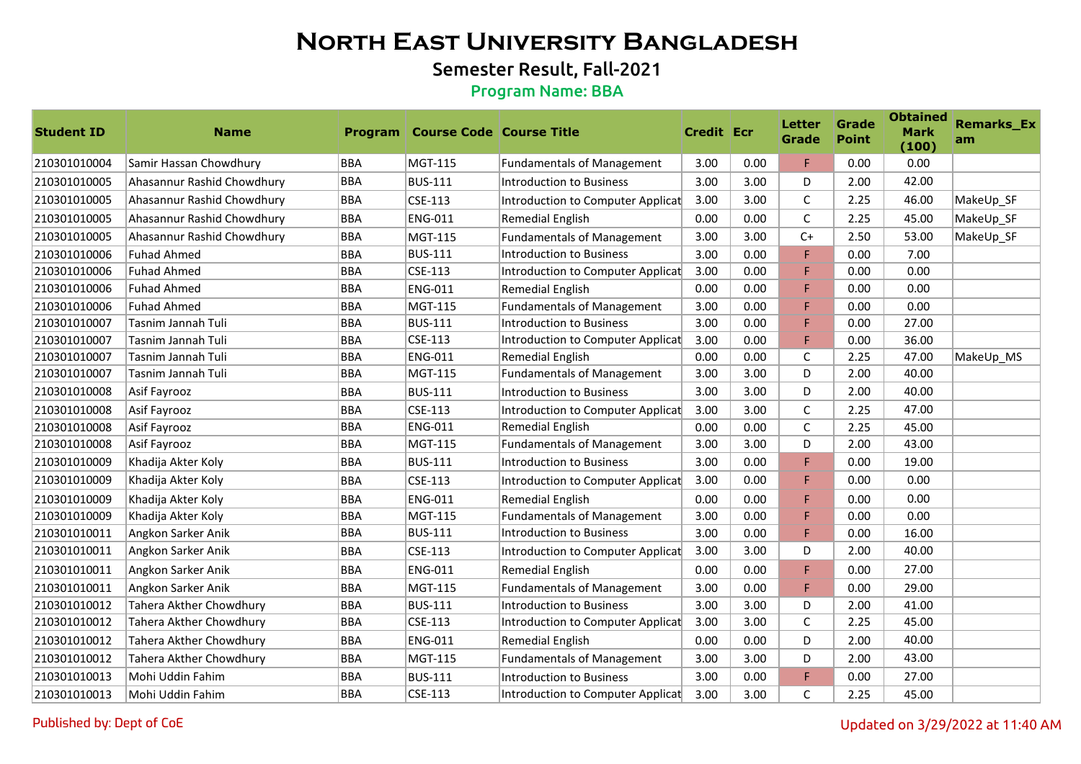### Semester Result, Fall-2021

| <b>Student ID</b> | <b>Name</b>                |            | <b>Program Course Code Course Title</b> |                                          | <b>Credit Ecr</b> |      | <b>Letter</b><br>Grade | Grade<br><b>Point</b> | <b>Obtained</b><br><b>Mark</b><br>(100) | <b>Remarks_Ex</b><br>am |
|-------------------|----------------------------|------------|-----------------------------------------|------------------------------------------|-------------------|------|------------------------|-----------------------|-----------------------------------------|-------------------------|
| 210301010004      | Samir Hassan Chowdhury     | BBA        | MGT-115                                 | <b>Fundamentals of Management</b>        | 3.00              | 0.00 | F                      | 0.00                  | 0.00                                    |                         |
| 210301010005      | Ahasannur Rashid Chowdhury | <b>BBA</b> | <b>BUS-111</b>                          | <b>Introduction to Business</b>          | 3.00              | 3.00 | D                      | 2.00                  | 42.00                                   |                         |
| 210301010005      | Ahasannur Rashid Chowdhury | <b>BBA</b> | CSE-113                                 | <b>Introduction to Computer Applicat</b> | 3.00              | 3.00 | C                      | 2.25                  | 46.00                                   | MakeUp_SF               |
| 210301010005      | Ahasannur Rashid Chowdhury | <b>BBA</b> | <b>ENG-011</b>                          | <b>Remedial English</b>                  | 0.00              | 0.00 | C                      | 2.25                  | 45.00                                   | MakeUp_SF               |
| 210301010005      | Ahasannur Rashid Chowdhury | BBA        | <b>MGT-115</b>                          | <b>Fundamentals of Management</b>        | 3.00              | 3.00 | $C+$                   | 2.50                  | 53.00                                   | MakeUp_SF               |
| 210301010006      | <b>Fuhad Ahmed</b>         | BBA        | <b>BUS-111</b>                          | <b>Introduction to Business</b>          | 3.00              | 0.00 | F                      | 0.00                  | 7.00                                    |                         |
| 210301010006      | <b>Fuhad Ahmed</b>         | <b>BBA</b> | CSE-113                                 | Introduction to Computer Applicat        | 3.00              | 0.00 | F                      | 0.00                  | 0.00                                    |                         |
| 210301010006      | <b>Fuhad Ahmed</b>         | BBA        | <b>ENG-011</b>                          | <b>Remedial English</b>                  | 0.00              | 0.00 | F                      | 0.00                  | 0.00                                    |                         |
| 210301010006      | <b>Fuhad Ahmed</b>         | BBA        | MGT-115                                 | <b>Fundamentals of Management</b>        | 3.00              | 0.00 | F                      | 0.00                  | 0.00                                    |                         |
| 210301010007      | Tasnim Jannah Tuli         | <b>BBA</b> | <b>BUS-111</b>                          | <b>Introduction to Business</b>          | 3.00              | 0.00 | F                      | 0.00                  | 27.00                                   |                         |
| 210301010007      | Tasnim Jannah Tuli         | BBA        | $CSE-113$                               | Introduction to Computer Applicat        | 3.00              | 0.00 | F                      | 0.00                  | 36.00                                   |                         |
| 210301010007      | Tasnim Jannah Tuli         | <b>BBA</b> | <b>ENG-011</b>                          | <b>Remedial English</b>                  | 0.00              | 0.00 | $\mathsf{C}$           | 2.25                  | 47.00                                   | MakeUp MS               |
| 210301010007      | Tasnim Jannah Tuli         | <b>BBA</b> | MGT-115                                 | <b>Fundamentals of Management</b>        | 3.00              | 3.00 | D                      | 2.00                  | 40.00                                   |                         |
| 210301010008      | Asif Fayrooz               | <b>BBA</b> | <b>BUS-111</b>                          | Introduction to Business                 | 3.00              | 3.00 | D                      | 2.00                  | 40.00                                   |                         |
| 210301010008      | Asif Fayrooz               | <b>BBA</b> | CSE-113                                 | <b>Introduction to Computer Applicat</b> | 3.00              | 3.00 | C                      | 2.25                  | 47.00                                   |                         |
| 210301010008      | Asif Fayrooz               | <b>BBA</b> | <b>ENG-011</b>                          | <b>Remedial English</b>                  | 0.00              | 0.00 | C                      | 2.25                  | 45.00                                   |                         |
| 210301010008      | Asif Fayrooz               | <b>BBA</b> | <b>MGT-115</b>                          | <b>Fundamentals of Management</b>        | 3.00              | 3.00 | D                      | 2.00                  | 43.00                                   |                         |
| 210301010009      | Khadija Akter Koly         | <b>BBA</b> | <b>BUS-111</b>                          | <b>Introduction to Business</b>          | 3.00              | 0.00 | F                      | 0.00                  | 19.00                                   |                         |
| 210301010009      | Khadija Akter Koly         | <b>BBA</b> | CSE-113                                 | <b>Introduction to Computer Applicat</b> | 3.00              | 0.00 | F                      | 0.00                  | 0.00                                    |                         |
| 210301010009      | Khadija Akter Koly         | <b>BBA</b> | <b>ENG-011</b>                          | <b>Remedial English</b>                  | 0.00              | 0.00 | F                      | 0.00                  | 0.00                                    |                         |
| 210301010009      | Khadija Akter Koly         | <b>BBA</b> | <b>MGT-115</b>                          | <b>Fundamentals of Management</b>        | 3.00              | 0.00 | F                      | 0.00                  | 0.00                                    |                         |
| 210301010011      | Angkon Sarker Anik         | <b>BBA</b> | <b>BUS-111</b>                          | Introduction to Business                 | 3.00              | 0.00 | F                      | 0.00                  | 16.00                                   |                         |
| 210301010011      | Angkon Sarker Anik         | <b>BBA</b> | $CSE-113$                               | <b>Introduction to Computer Applicat</b> | 3.00              | 3.00 | D                      | 2.00                  | 40.00                                   |                         |
| 210301010011      | Angkon Sarker Anik         | <b>BBA</b> | <b>ENG-011</b>                          | <b>Remedial English</b>                  | 0.00              | 0.00 | F                      | 0.00                  | 27.00                                   |                         |
| 210301010011      | Angkon Sarker Anik         | <b>BBA</b> | <b>MGT-115</b>                          | <b>Fundamentals of Management</b>        | 3.00              | 0.00 | F                      | 0.00                  | 29.00                                   |                         |
| 210301010012      | Tahera Akther Chowdhury    | <b>BBA</b> | <b>BUS-111</b>                          | <b>Introduction to Business</b>          | 3.00              | 3.00 | D                      | 2.00                  | 41.00                                   |                         |
| 210301010012      | Tahera Akther Chowdhury    | <b>BBA</b> | $CSE-113$                               | <b>Introduction to Computer Applicat</b> | 3.00              | 3.00 | C                      | 2.25                  | 45.00                                   |                         |
| 210301010012      | Tahera Akther Chowdhury    | <b>BBA</b> | <b>ENG-011</b>                          | <b>Remedial English</b>                  | 0.00              | 0.00 | D                      | 2.00                  | 40.00                                   |                         |
| 210301010012      | Tahera Akther Chowdhury    | <b>BBA</b> | <b>MGT-115</b>                          | <b>Fundamentals of Management</b>        | 3.00              | 3.00 | D                      | 2.00                  | 43.00                                   |                         |
| 210301010013      | Mohi Uddin Fahim           | <b>BBA</b> | <b>BUS-111</b>                          | <b>Introduction to Business</b>          | 3.00              | 0.00 | F                      | 0.00                  | 27.00                                   |                         |
| 210301010013      | Mohi Uddin Fahim           | <b>BBA</b> | $CSE-113$                               | Introduction to Computer Applicat        | 3.00              | 3.00 | C                      | 2.25                  | 45.00                                   |                         |